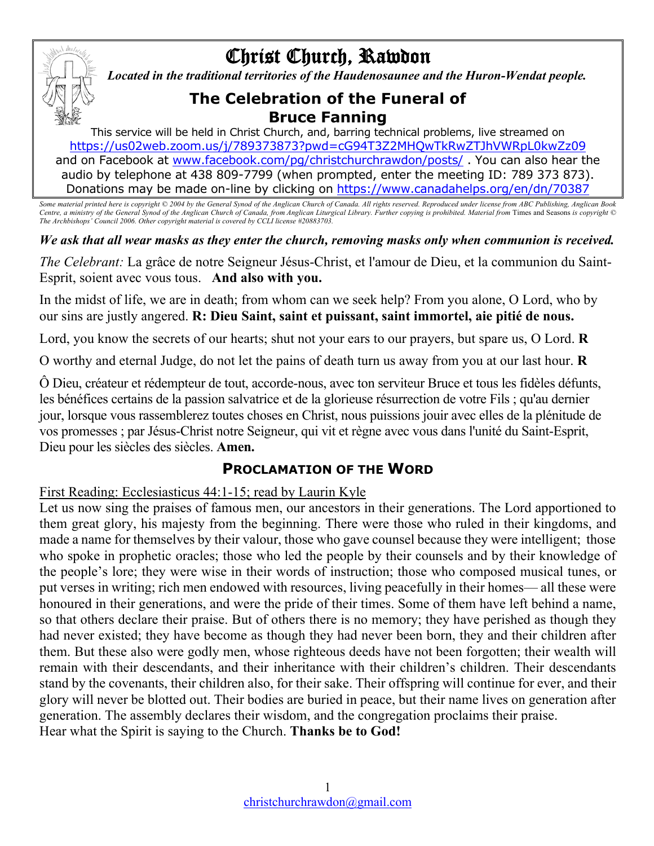

# Christ Church, Rawdon

*Located in the traditional territories of the Haudenosaunee and the Huron-Wendat people.*

# **The Celebration of the Funeral of Bruce Fanning**

This service will be held in Christ Church, and, barring technical problems, live streamed on https://us02web.zoom.us/j/789373873?pwd=cG94T3Z2MHQwTkRwZTJhVWRpL0kwZz09 and on Facebook at www.facebook.com/pg/christchurchrawdon/posts/ . You can also hear the audio by telephone at 438 809-7799 (when prompted, enter the meeting ID: 789 373 873). Donations may be made on-line by clicking on https://www.canadahelps.org/en/dn/70387

*Some material printed here is copyright © 2004 by the General Synod of the Anglican Church of Canada. All rights reserved. Reproduced under license from ABC Publishing, Anglican Book Centre, a ministry of the General Synod of the Anglican Church of Canada, from Anglican Liturgical Library. Further copying is prohibited. Material from Times and Seasons is copyright © Centre, a ministry of the General S The Archbishops' Council 2006. Other copyright material is covered by CCLI license #20883703.*

*We ask that all wear masks as they enter the church, removing masks only when communion is received.*

*The Celebrant:* La grâce de notre Seigneur Jésus-Christ, et l'amour de Dieu, et la communion du Saint-Esprit, soient avec vous tous. **And also with you.**

In the midst of life, we are in death; from whom can we seek help? From you alone, O Lord, who by our sins are justly angered. **R: Dieu Saint, saint et puissant, saint immortel, aie pitié de nous.**

Lord, you know the secrets of our hearts; shut not your ears to our prayers, but spare us, O Lord. **R**

O worthy and eternal Judge, do not let the pains of death turn us away from you at our last hour. **R**

Ô Dieu, créateur et rédempteur de tout, accorde-nous, avec ton serviteur Bruce et tous les fidèles défunts, les bénéfices certains de la passion salvatrice et de la glorieuse résurrection de votre Fils ; qu'au dernier jour, lorsque vous rassemblerez toutes choses en Christ, nous puissions jouir avec elles de la plénitude de vos promesses ; par Jésus-Christ notre Seigneur, qui vit et règne avec vous dans l'unité du Saint-Esprit, Dieu pour les siècles des siècles. **Amen.**

## **PROCLAMATION OF THE WORD**

#### First Reading: Ecclesiasticus 44:1-15; read by Laurin Kyle

Let us now sing the praises of famous men, our ancestors in their generations. The Lord apportioned to them great glory, his majesty from the beginning. There were those who ruled in their kingdoms, and made a name for themselves by their valour, those who gave counsel because they were intelligent; those who spoke in prophetic oracles; those who led the people by their counsels and by their knowledge of the people's lore; they were wise in their words of instruction; those who composed musical tunes, or put verses in writing; rich men endowed with resources, living peacefully in their homes— all these were honoured in their generations, and were the pride of their times. Some of them have left behind a name, so that others declare their praise. But of others there is no memory; they have perished as though they had never existed; they have become as though they had never been born, they and their children after them. But these also were godly men, whose righteous deeds have not been forgotten; their wealth will remain with their descendants, and their inheritance with their children's children. Their descendants stand by the covenants, their children also, for their sake. Their offspring will continue for ever, and their glory will never be blotted out. Their bodies are buried in peace, but their name lives on generation after generation. The assembly declares their wisdom, and the congregation proclaims their praise. Hear what the Spirit is saying to the Church. **Thanks be to God!**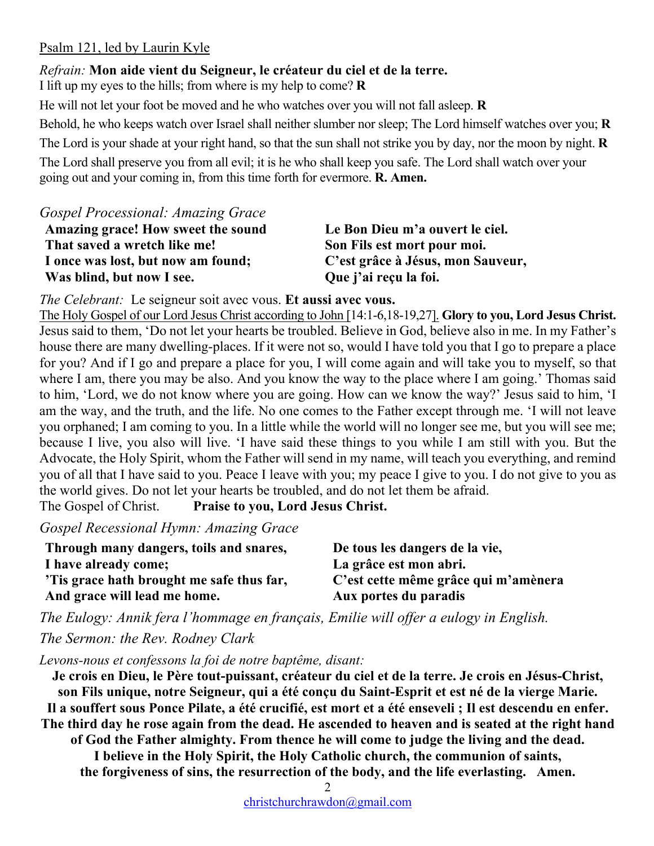#### Psalm 121, led by Laurin Kyle

#### *Refrain:* **Mon aide vient du Seigneur, le créateur du ciel et de la terre.**

I lift up my eyes to the hills; from where is my help to come? **R**

He will not let your foot be moved and he who watches over you will not fall asleep. **R** Behold, he who keeps watch over Israel shall neither slumber nor sleep; The Lord himself watches over you; **R** The Lord is your shade at your right hand, so that the sun shall not strike you by day, nor the moon by night. **R** The Lord shall preserve you from all evil; it is he who shall keep you safe. The Lord shall watch over your going out and your coming in, from this time forth for evermore. **R. Amen.**

*Gospel Processional: Amazing Grace*

| Amazing grace! How sweet the sound | Le Bon Dieu m'a ouvert le ciel.   |
|------------------------------------|-----------------------------------|
| That saved a wretch like me!       | Son Fils est mort pour moi.       |
| I once was lost, but now am found; | C'est grâce à Jésus, mon Sauveur, |
| Was blind, but now I see.          | Que j'ai reçu la foi.             |

*The Celebrant:* Le seigneur soit avec vous. **Et aussi avec vous.**

The Holy Gospel of our Lord Jesus Christ according to John [14:1-6,18-19,27]. **Glory to you, Lord Jesus Christ.** Jesus said to them, 'Do not let your hearts be troubled. Believe in God, believe also in me. In my Father's house there are many dwelling-places. If it were not so, would I have told you that I go to prepare a place for you? And if I go and prepare a place for you, I will come again and will take you to myself, so that where I am, there you may be also. And you know the way to the place where I am going.' Thomas said to him, 'Lord, we do not know where you are going. How can we know the way?' Jesus said to him, 'I am the way, and the truth, and the life. No one comes to the Father except through me. 'I will not leave you orphaned; I am coming to you. In a little while the world will no longer see me, but you will see me; because I live, you also will live. 'I have said these things to you while I am still with you. But the Advocate, the Holy Spirit, whom the Father will send in my name, will teach you everything, and remind you of all that I have said to you. Peace I leave with you; my peace I give to you. I do not give to you as the world gives. Do not let your hearts be troubled, and do not let them be afraid. The Gospel of Christ. **Praise to you, Lord Jesus Christ.**

*Gospel Recessional Hymn: Amazing Grace*

| Through many dangers, toils and snares,  | De tous les dangers de la vie,       |
|------------------------------------------|--------------------------------------|
| I have already come;                     | La grâce est mon abri.               |
| Tis grace hath brought me safe thus far, | C'est cette même grâce qui m'amènera |
| And grace will lead me home.             | Aux portes du paradis                |

*The Eulogy: Annik fera l'hommage en français, Emilie will offer a eulogy in English. The Sermon: the Rev. Rodney Clark*

*Levons-nous et confessons la foi de notre baptême, disant:*

**Je crois en Dieu, le Père tout-puissant, créateur du ciel et de la terre. Je crois en Jésus-Christ, son Fils unique, notre Seigneur, qui a été conçu du Saint-Esprit et est né de la vierge Marie. Il a souffert sous Ponce Pilate, a été crucifié, est mort et a été enseveli ; Il est descendu en enfer. The third day he rose again from the dead. He ascended to heaven and is seated at the right hand of God the Father almighty. From thence he will come to judge the living and the dead. I believe in the Holy Spirit, the Holy Catholic church, the communion of saints, the forgiveness of sins, the resurrection of the body, and the life everlasting. Amen.**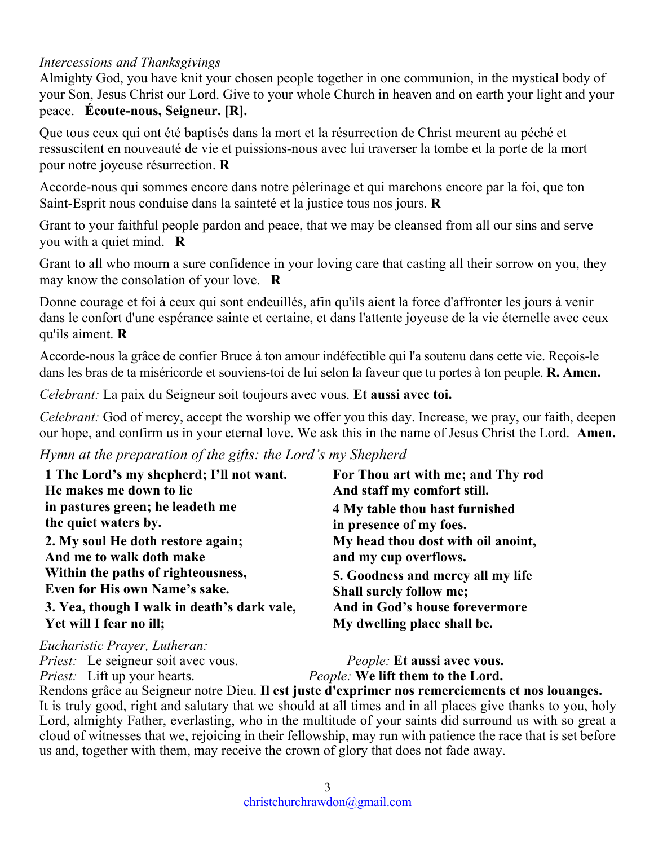### *Intercessions and Thanksgivings*

Almighty God, you have knit your chosen people together in one communion, in the mystical body of your Son, Jesus Christ our Lord. Give to your whole Church in heaven and on earth your light and your peace. **Écoute-nous, Seigneur. [R].**

Que tous ceux qui ont été baptisés dans la mort et la résurrection de Christ meurent au péché et ressuscitent en nouveauté de vie et puissions-nous avec lui traverser la tombe et la porte de la mort pour notre joyeuse résurrection. **R**

Accorde-nous qui sommes encore dans notre pèlerinage et qui marchons encore par la foi, que ton Saint-Esprit nous conduise dans la sainteté et la justice tous nos jours. **R**

Grant to your faithful people pardon and peace, that we may be cleansed from all our sins and serve you with a quiet mind. **R**

Grant to all who mourn a sure confidence in your loving care that casting all their sorrow on you, they may know the consolation of your love. **R**

Donne courage et foi à ceux qui sont endeuillés, afin qu'ils aient la force d'affronter les jours à venir dans le confort d'une espérance sainte et certaine, et dans l'attente joyeuse de la vie éternelle avec ceux qu'ils aiment. **R**

Accorde-nous la grâce de confier Bruce à ton amour indéfectible qui l'a soutenu dans cette vie. Reçois-le dans les bras de ta miséricorde et souviens-toi de lui selon la faveur que tu portes à ton peuple. **R. Amen.**

*Celebrant:* La paix du Seigneur soit toujours avec vous. **Et aussi avec toi.**

*Celebrant:* God of mercy, accept the worship we offer you this day. Increase, we pray, our faith, deepen our hope, and confirm us in your eternal love. We ask this in the name of Jesus Christ the Lord. **Amen.**

*Hymn at the preparation of the gifts: the Lord's my Shepherd*

| 1 The Lord's my shepherd; I'll not want.                                                                | For Thou art with me; and Thy rod  |
|---------------------------------------------------------------------------------------------------------|------------------------------------|
| He makes me down to lie                                                                                 | And staff my comfort still.        |
| in pastures green; he leadeth me                                                                        | 4 My table thou hast furnished     |
| the quiet waters by.                                                                                    | in presence of my foes.            |
| 2. My soul He doth restore again;                                                                       | My head thou dost with oil anoint, |
| And me to walk doth make                                                                                | and my cup overflows.              |
| Within the paths of righteousness,                                                                      | 5. Goodness and mercy all my life  |
| Even for His own Name's sake.                                                                           | <b>Shall surely follow me;</b>     |
| 3. Yea, though I walk in death's dark vale,                                                             | And in God's house forevermore     |
| Yet will I fear no ill;                                                                                 | My dwelling place shall be.        |
| $\mathbf{E}$ . $\mathbf{L}$ and $\mathbf{L}$ <b>D</b> and $\mathbf{L}$ is $\mathbf{L}$ and $\mathbf{L}$ |                                    |

*Eucharistic Prayer, Lutheran: Priest:* Le seigneur soit avec vous. *People:* **Et aussi avec vous.** *Priest:* Lift up your hearts. *People:* **We lift them to the Lord.**

Rendons grâce au Seigneur notre Dieu. **Il est juste d'exprimer nos remerciements et nos louanges.** It is truly good, right and salutary that we should at all times and in all places give thanks to you, holy Lord, almighty Father, everlasting, who in the multitude of your saints did surround us with so great a cloud of witnesses that we, rejoicing in their fellowship, may run with patience the race that is set before us and, together with them, may receive the crown of glory that does not fade away.